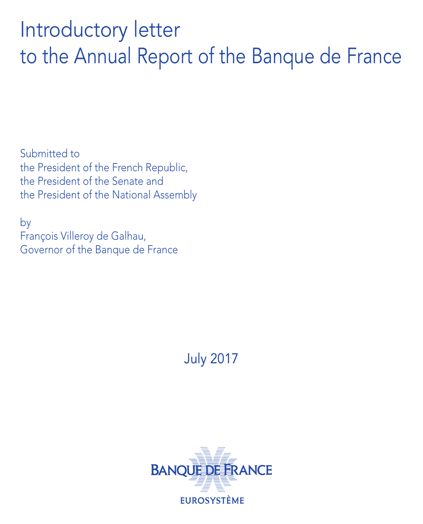# Introductory letter to the Annual Report of the Banque de France

Submitted to the President of the French Republic, the President of the Senate and the President of the National Assembly

by François Villeroy de Galhau, Governor of the Banque de France

July 2017

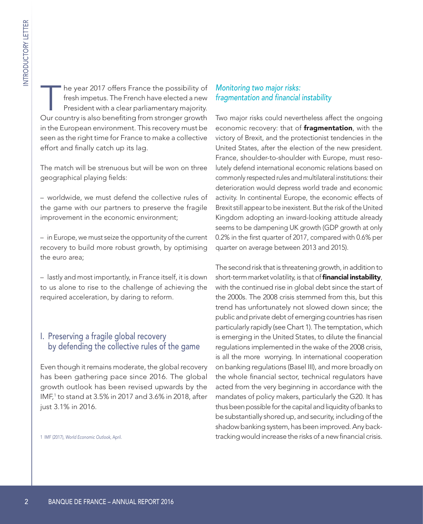The year 2017 offers France the po<br>
fresh impetus. The French have ele<br>
Our country is also benefiting from strong<br>
seem as the right time for France to make<br>
seem at the full be strenuous but will be we<br>
geographical play he year 2017 offers France the possibility of fresh impetus. The French have elected a new President with a clear parliamentary majority. Our country is also benefiting from stronger growth in the European environment. This recovery must be seen as the right time for France to make a collective effort and finally catch up its lag.

The match will be strenuous but will be won on three geographical playing fields:

– worldwide, we must defend the collective rules of the game with our partners to preserve the fragile improvement in the economic environment;

– in Europe, we must seize the opportunity of the current recovery to build more robust growth, by optimising the euro area;

– lastly and most importantly, in France itself, it is down to us alone to rise to the challenge of achieving the required acceleration, by daring to reform.

# I. Preserving a fragile global recovery by defending the collective rules of the game

Even though it remains moderate, the global recovery has been gathering pace since 2016. The global growth outlook has been revised upwards by the IMF,1 to stand at 3.5% in 2017 and 3.6% in 2018, after just 3.1% in 2016.

# *Monitoring two major risks: fragmentation and financial instability*

Two major risks could nevertheless affect the ongoing economic recovery: that of **fragmentation**, with the victory of Brexit, and the protectionist tendencies in the United States, after the election of the new president. France, shoulder-to-shoulder with Europe, must resolutely defend international economic relations based on commonly respected rules and multilateral institutions: their deterioration would depress world trade and economic activity. In continental Europe, the economic effects of Brexit still appear to be inexistent. But the risk of the United Kingdom adopting an inward-looking attitude already seems to be dampening UK growth (GDP growth at only 0.2% in the first quarter of 2017, compared with 0.6% per quarter on average between 2013 and 2015).

The second risk that is threatening growth, in addition to short-term market volatility, is that of financial instability, with the continued rise in global debt since the start of the 2000s. The 2008 crisis stemmed from this, but this trend has unfortunately not slowed down since; the public and private debt of emerging countries has risen particularly rapidly (see Chart 1). The temptation, which is emerging in the United States, to dilute the financial regulations implemented in the wake of the 2008 crisis, is all the more worrying. In international cooperation on banking regulations (Basel III), and more broadly on the whole financial sector, technical regulators have acted from the very beginning in accordance with the mandates of policy makers, particularly the G20. It has thus been possible for the capital and liquidity of banks to be substantially shored up, and security, including of the shadow banking system, has been improved. Any back-<sup>1</sup> IMF (2017), *World Economic Outlook*, April. tracking would increase the risks of a new financial crisis.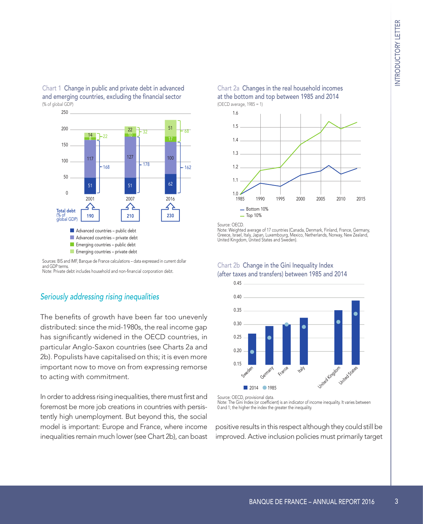Chart 1 Change in public and private debt in advanced and emerging countries, excluding the financial sector (% of global GDP)



Sources: BIS and IMF, Banque de France calculations – data expressed in current dollar and GDP terms. Note: Private debt includes household and non-financial corporation debt.

# *Seriously addressing rising inequalities*

The benefits of growth have been far too unevenly distributed: since the mid-1980s, the real income gap has significantly widened in the OECD countries, in particular Anglo-Saxon countries (see Charts 2a and 2b). Populists have capitalised on this; it is even more important now to move on from expressing remorse to acting with commitment.

In order to address rising inequalities, there must first and foremost be more job creations in countries with persistently high unemployment. But beyond this, the social model is important: Europe and France, where income inequalities remain much lower (see Chart 2b), can boast





Source: OECD.

Note: Weighted average of 17 countries (Canada, Denmark, Finland, France, Germany,<br>Greece, Israel, Italy, Japan, Luxembourg, Mexico, Netherlands, Norway, New Zealand,<br>United Kingdom, United States and Sweden).





Source: OECD, provisional data.

Note: The Gini Index (or coefficient) is an indicator of income inequality. It varies between 0 and 1; the higher the index the greater the inequality.

positive results in this respect although they could still be improved. Active inclusion policies must primarily target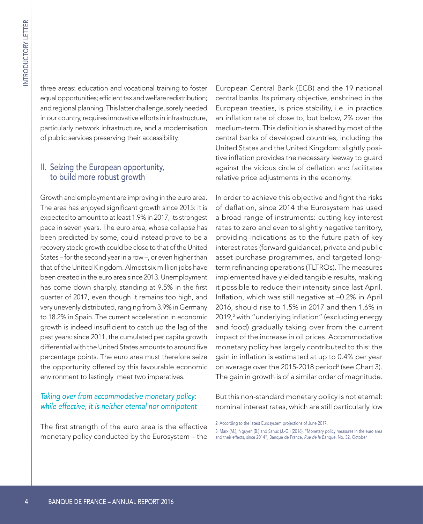three areas: education and vocational training to foster equal opportunities; efficient tax and welfare redistribution; and regional planning. This latter challenge, sorely needed in our country, requires innovative efforts in infrastructure, particularly network infrastructure, and a modernisation of public services preserving their accessibility.

# II. Seizing the European opportunity, to build more robust growth

 $\begin{tabular}{ll} \textbf{E.} & \textbf{B.} \\ \textbf{E.} & \textbf{B.} \\ \textbf{E.} & \textbf{B.} \\ \textbf{E.} & \textbf{B.} \\ \textbf{E.} & \textbf{B.} \\ \textbf{E.} & \textbf{B.} \\ \textbf{E.} & \textbf{B.} \\ \textbf{E.} & \textbf{B.} \\ \textbf{E.} & \textbf{B.} \\ \textbf{E.} & \textbf{B.} \\ \textbf{E.} & \textbf{B.} \\ \textbf{E.} & \textbf{B.} \\ \textbf{E.} & \textbf{B.} \\ \textbf{$ Growth and employment are improving in the euro area. The area has enjoyed significant growth since 2015: it is expected to amount to at least 1.9% in 2017, its strongest pace in seven years. The euro area, whose collapse has been predicted by some, could instead prove to be a recovery stock: growth could be close to that of the United States – for the second year in a row –, or even higher than that of the United Kingdom. Almost six million jobs have been created in the euro area since 2013. Unemployment has come down sharply, standing at 9.5% in the first quarter of 2017, even though it remains too high, and very unevenly distributed, ranging from 3.9% in Germany to 18.2% in Spain. The current acceleration in economic growth is indeed insufficient to catch up the lag of the past years: since 2011, the cumulated per capita growth differential with the United States amounts to around five percentage points. The euro area must therefore seize the opportunity offered by this favourable economic environment to lastingly meet two imperatives.

# *Taking over from accommodative monetary policy: while effective, it is neither eternal nor omnipotent*

The first strength of the euro area is the effective monetary policy conducted by the Eurosystem – the European Central Bank (ECB) and the 19 national central banks. Its primary objective, enshrined in the European treaties, is price stability, i.e. in practice an inflation rate of close to, but below, 2% over the medium-term. This definition is shared by most of the central banks of developed countries, including the United States and the United Kingdom: slightly positive inflation provides the necessary leeway to guard against the vicious circle of deflation and facilitates relative price adjustments in the economy.

In order to achieve this objective and fight the risks of deflation, since 2014 the Eurosystem has used a broad range of instruments: cutting key interest rates to zero and even to slightly negative territory, providing indications as to the future path of key interest rates (forward guidance), private and public asset purchase programmes, and targeted longterm refinancing operations (TLTROs). The measures implemented have yielded tangible results, making it possible to reduce their intensity since last April. Inflation, which was still negative at –0.2% in April 2016, should rise to 1.5% in 2017 and then 1.6% in 2019,<sup>2</sup> with "underlying inflation" (excluding energy and food) gradually taking over from the current impact of the increase in oil prices. Accommodative monetary policy has largely contributed to this: the gain in inflation is estimated at up to 0.4% per year on average over the 2015-2018 period<sup>3</sup> (see Chart 3). The gain in growth is of a similar order of magnitude.

But this non-standard monetary policy is not eternal: nominal interest rates, which are still particularly low

3 Marx (M.), Nguyen (B.) and Sahuc (J.-G.) (2016), "Monetary policy measures in the euro area and their effects, since 2014", Banque de France, *Rue de la Banque*, No. 32, October.

<sup>2</sup> According to the latest Eurosystem projections of June 2017.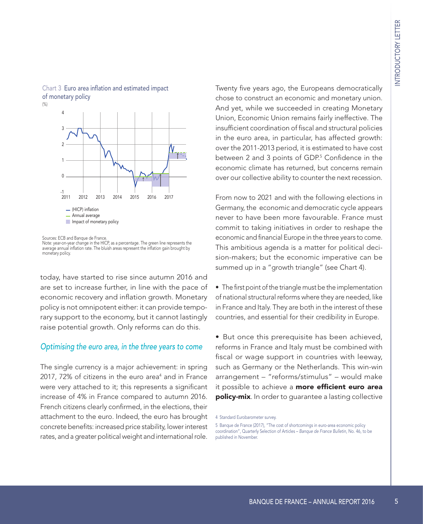# (HICP) inflation Annual average 2011  $\cap$ 1 2 3 4 2011 2012 2013 2014 2015 2016 2017 Impact of monetary policy

#### Chart 3 Euro area inflation and estimated impact of monetary policy

(%)

Sources: ECB and Banque de France. Note: year-on-year change in the HICP, as a percentage. The green line represents the average annual inflation rate. The bluish areas represent the inflation gain brought by monetary policy.

today, have started to rise since autumn 2016 and are set to increase further, in line with the pace of economic recovery and inflation growth. Monetary policy is not omnipotent either: it can provide temporary support to the economy, but it cannot lastingly raise potential growth. Only reforms can do this.

# *Optimising the euro area, in the three years to come*

The single currency is a major achievement: in spring 2017, 72% of citizens in the euro area $^4$  and in France were very attached to it; this represents a significant increase of 4% in France compared to autumn 2016. French citizens clearly confirmed, in the elections, their attachment to the euro. Indeed, the euro has brought concrete benefits: increased price stability, lower interest rates, and a greater political weight and international role.

Twenty five years ago, the Europeans democratically chose to construct an economic and monetary union. And yet, while we succeeded in creating Monetary Union, Economic Union remains fairly ineffective. The insufficient coordination of fiscal and structural policies in the euro area, in particular, has affected growth: over the 2011-2013 period, it is estimated to have cost between 2 and 3 points of GDP.5 Confidence in the economic climate has returned, but concerns remain over our collective ability to counter the next recession.

From now to 2021 and with the following elections in Germany, the economic and democratic cycle appears never to have been more favourable. France must commit to taking initiatives in order to reshape the economic and financial Europe in the three years to come. This ambitious agenda is a matter for political decision-makers; but the economic imperative can be summed up in a "growth triangle" (see Chart 4).

• The first point of the triangle must be the implementation of national structural reforms where they are needed, like in France and Italy. They are both in the interest of these countries, and essential for their credibility in Europe.

• But once this prerequisite has been achieved, reforms in France and Italy must be combined with fiscal or wage support in countries with leeway, such as Germany or the Netherlands. This win-win arrangement – "reforms/stimulus" – would make it possible to achieve a **more efficient euro area** policy-mix. In order to guarantee a lasting collective

4 Standard Eurobarometer survey.

<sup>5</sup> Banque de France (2017), "The cost of shortcomings in euro-area economic policy coordination", Quarterly Selection of Articles – *Banque de France Bulletin*, No. 46, to be published in November.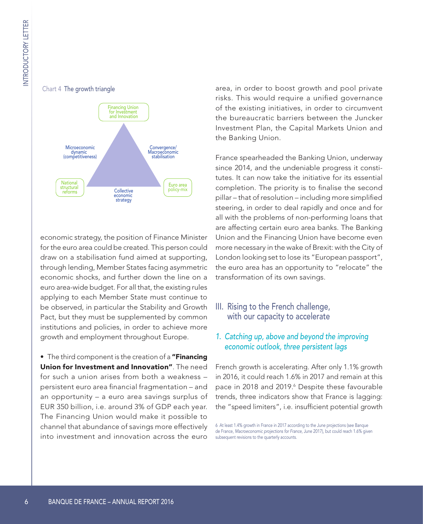#### Chart 4 The growth triangle



economic strategy, the position of Finance Minister for the euro area could be created. This person could draw on a stabilisation fund aimed at supporting, through lending, Member States facing asymmetric economic shocks, and further down the line on a euro area-wide budget. For all that, the existing rules applying to each Member State must continue to be observed, in particular the Stability and Growth Pact, but they must be supplemented by common institutions and policies, in order to achieve more growth and employment throughout Europe.

• The third component is the creation of a "Financing Union for Investment and Innovation". The need for such a union arises from both a weakness – persistent euro area financial fragmentation – and an opportunity – a euro area savings surplus of EUR 350 billion, i.e. around 3% of GDP each year. The Financing Union would make it possible to channel that abundance of savings more effectively into investment and innovation across the euro

area, in order to boost growth and pool private risks. This would require a unified governance of the existing initiatives, in order to circumvent the bureaucratic barriers between the Juncker Investment Plan, the Capital Markets Union and the Banking Union.

France spearheaded the Banking Union, underway since 2014, and the undeniable progress it constitutes. It can now take the initiative for its essential completion. The priority is to finalise the second pillar – that of resolution – including more simplified steering, in order to deal rapidly and once and for all with the problems of non-performing loans that are affecting certain euro area banks. The Banking Union and the Financing Union have become even more necessary in the wake of Brexit: with the City of London looking set to lose its "European passport", the euro area has an opportunity to "relocate" the transformation of its own savings.

III. Rising to the French challenge, with our capacity to accelerate

# *1. Catching up, above and beyond the improving economic outlook, three persistent lags*

French growth is accelerating. After only 1.1% growth in 2016, it could reach 1.6% in 2017 and remain at this pace in 2018 and 2019.6 Despite these favourable trends, three indicators show that France is lagging: the "speed limiters", i.e. insufficient potential growth

6 At least 1.4% growth in France in 2017 according to the June projections (see Banque de France, *Macroeconomic projections for France*, June 2017), but could reach 1.6% given subsequent revisions to the quarterly accounts.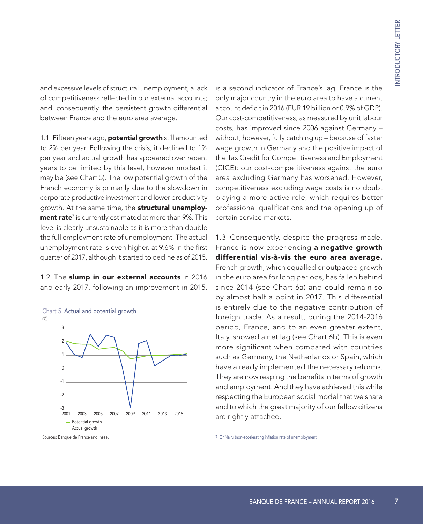and excessive levels of structural unemployment; a lack of competitiveness reflected in our external accounts; and, consequently, the persistent growth differential between France and the euro area average.

1.1 Fifteen years ago, **potential growth** still amounted to 2% per year. Following the crisis, it declined to 1% per year and actual growth has appeared over recent years to be limited by this level, however modest it may be (see Chart 5). The low potential growth of the French economy is primarily due to the slowdown in corporate productive investment and lower productivity growth. At the same time, the **structural unemployment rate**<sup>7</sup> is currently estimated at more than 9%. This level is clearly unsustainable as it is more than double the full employment rate of unemployment. The actual unemployment rate is even higher, at 9.6% in the first quarter of 2017, although it started to decline as of 2015.

1.2 The slump in our external accounts in 2016 and early 2017, following an improvement in 2015,



is a second indicator of France's lag. France is the only major country in the euro area to have a current account deficit in 2016 (EUR 19 billion or 0.9% of GDP). Our cost-competitiveness, as measured by unit labour costs, has improved since 2006 against Germany – without, however, fully catching up – because of faster wage growth in Germany and the positive impact of the Tax Credit for Competitiveness and Employment (CICE); our cost-competitiveness against the euro area excluding Germany has worsened. However, competitiveness excluding wage costs is no doubt playing a more active role, which requires better professional qualifications and the opening up of certain service markets.

1.3 Consequently, despite the progress made, France is now experiencing a negative growth differential vis-à-vis the euro area average. French growth, which equalled or outpaced growth in the euro area for long periods, has fallen behind since 2014 (see Chart 6a) and could remain so by almost half a point in 2017. This differential is entirely due to the negative contribution of foreign trade. As a result, during the 2014-2016 period, France, and to an even greater extent, Italy, showed a net lag (see Chart 6b). This is even more significant when compared with countries such as Germany, the Netherlands or Spain, which have already implemented the necessary reforms. They are now reaping the benefits in terms of growth and employment. And they have achieved this while respecting the European social model that we share and to which the great majority of our fellow citizens are rightly attached.

Sources: Banque de France and Insee. 7 Or Nairu (non-accelerating inflation rate of unemployment).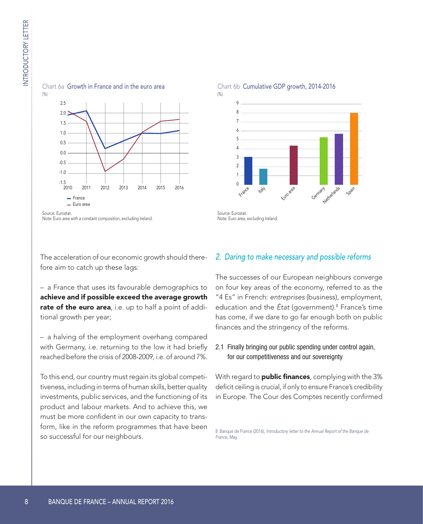

Chart 6a Growth in France and in the euro area

Source: Eurostat. Note: Euro area with a constant composition, excluding Ireland.

# The acceleration of our economic growth should therefore aim to catch up these lags:

– a France that uses its favourable demographics to achieve and if possible exceed the average growth rate of the euro area, i.e. up to half a point of additional growth per year;

– a halving of the employment overhang compared with Germany, i.e. returning to the low it had briefly reached before the crisis of 2008-2009, i.e. of around 7%.

To this end, our country must regain its global competitiveness, including in terms of human skills, better quality investments, public services, and the functioning of its product and labour markets. And to achieve this, we must be more confident in our own capacity to transform, like in the reform programmes that have been so successful for our neighbours.



Note: Euro area, excluding Ireland.

# *2. Daring to make necessary and possible reforms*

The successes of our European neighbours converge on four key areas of the economy, referred to as the "4 Es" in French: *entreprises* (business), employment, education and the *État* (government).8 France's time has come, if we dare to go far enough both on public finances and the stringency of the reforms.

# 2.1 Finally bringing our public spending under control again, for our competitiveness and our sovereignty

With regard to **public finances**, complying with the 3% deficit ceiling is crucial, if only to ensure France's credibility in Europe. The Cour des Comptes recently confirmed

8 Banque de France (2016), *Introductory letter to the Annual Report of the Banque de France*, May.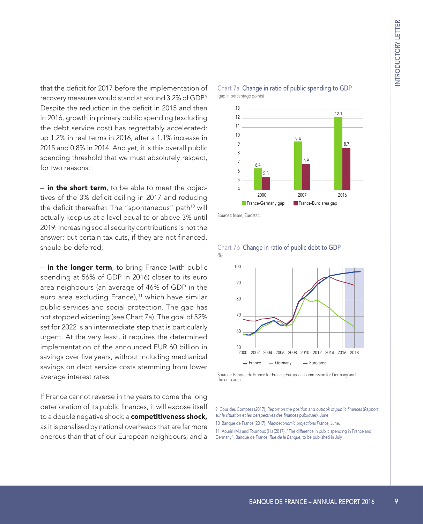that the deficit for 2017 before the implementation of recovery measures would stand at around 3.2% of GDP.9 Despite the reduction in the deficit in 2015 and then in 2016, growth in primary public spending (excluding the debt service cost) has regrettably accelerated: up 1.2% in real terms in 2016, after a 1.1% increase in 2015 and 0.8% in 2014. And yet, it is this overall public spending threshold that we must absolutely respect, for two reasons:

 $-$  in the short term, to be able to meet the objectives of the 3% deficit ceiling in 2017 and reducing the deficit thereafter. The "spontaneous" path<sup>10</sup> will actually keep us at a level equal to or above 3% until 2019. Increasing social security contributions is not the answer; but certain tax cuts, if they are not financed, should be deferred;

 $-$  in the longer term, to bring France (with public spending at 56% of GDP in 2016) closer to its euro area neighbours (an average of 46% of GDP in the euro area excluding France),<sup>11</sup> which have similar public services and social protection. The gap has not stopped widening (see Chart 7a). The goal of 52% set for 2022 is an intermediate step that is particularly urgent. At the very least, it requires the determined implementation of the announced EUR 60 billion in savings over five years, without including mechanical savings on debt service costs stemming from lower average interest rates.

If France cannot reverse in the years to come the long deterioration of its public finances, it will expose itself to a double negative shock: a **competitiveness shock,** as it is penalised by national overheads that are far more onerous than that of our European neighbours; and a





Sources: Insee, Eurostat.



#### Chart 7b Change in ratio of public debt to GDP (%)

Sources: Banque de France for France; European Commission for Germany and the euro area

9 Cour des Comptes (2017), *Report on the position and outlook of public finances* (*Rapport sur la situation et les perspectives des finances publiques*), June.

10 Banque de France (2017), *Macroeconomic projections France*, June.

11 Aouriri (M.) and Tournoux (H.) (2017), "The difference in public spending in France and Germany", Banque de France, *Rue de la Banque*, to be published in July.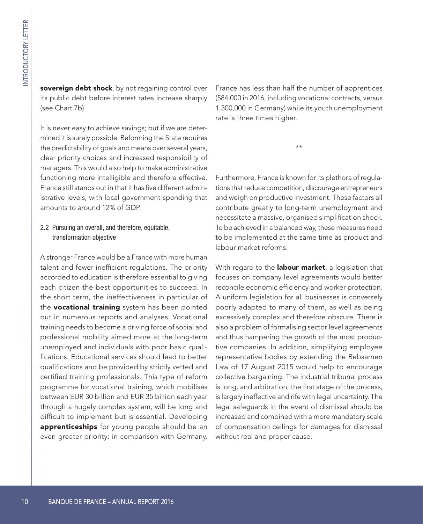sovereign debt shock, by not regaining control over its public debt before interest rates increase sharply (see Chart 7b).

It is never easy to achieve savings; but if we are determined it is surely possible. Reforming the State requires the predictability of goals and means over several years, clear priority choices and increased responsibility of managers. This would also help to make administrative functioning more intelligible and therefore effective. France still stands out in that it has five different administrative levels, with local government spending that amounts to around 12% of GDP.

# 2.2 Pursuing an overall, and therefore, equitable, transformation objective

10<br>
10 Between Society and the stock, by not regaining c<br>
10 sovereign debt shock, by not regaining is true<br>
10 the mind of this urely possible. Reforming the Street<br>
11 the predictability of goals and meansed responses t A stronger France would be a France with more human talent and fewer inefficient regulations. The priority accorded to education is therefore essential to giving each citizen the best opportunities to succeed. In the short term, the ineffectiveness in particular of the **vocational training** system has been pointed out in numerous reports and analyses. Vocational training needs to become a driving force of social and professional mobility aimed more at the long-term unemployed and individuals with poor basic qualifications. Educational services should lead to better qualifications and be provided by strictly vetted and certified training professionals. This type of reform programme for vocational training, which mobilises between EUR 30 billion and EUR 35 billion each year through a hugely complex system, will be long and difficult to implement but is essential. Developing apprenticeships for young people should be an even greater priority: in comparison with Germany,

France has less than half the number of apprentices (584,000 in 2016, including vocational contracts, versus 1,300,000 in Germany) while its youth unemployment rate is three times higher.

\*\*

Furthermore, France is known for its plethora of regulations that reduce competition, discourage entrepreneurs and weigh on productive investment. These factors all contribute greatly to long-term unemployment and necessitate a massive, organised simplification shock. To be achieved in a balanced way, these measures need to be implemented at the same time as product and labour market reforms.

With regard to the labour market, a legislation that focuses on company level agreements would better reconcile economic efficiency and worker protection. A uniform legislation for all businesses is conversely poorly adapted to many of them, as well as being excessively complex and therefore obscure. There is also a problem of formalising sector level agreements and thus hampering the growth of the most productive companies. In addition, simplifying employee representative bodies by extending the Rebsamen Law of 17 August 2015 would help to encourage collective bargaining. The industrial tribunal process is long, and arbitration, the first stage of the process, is largely ineffective and rife with legal uncertainty. The legal safeguards in the event of dismissal should be increased and combined with a more mandatory scale of compensation ceilings for damages for dismissal without real and proper cause.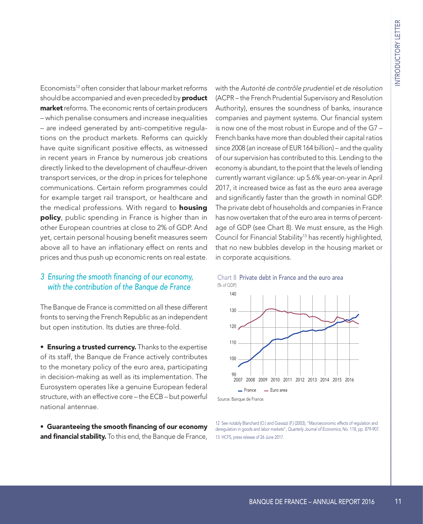Economists<sup>12</sup> often consider that labour market reforms should be accompanied and even preceded by **product** market reforms. The economic rents of certain producers – which penalise consumers and increase inequalities – are indeed generated by anti-competitive regulations on the product markets. Reforms can quickly have quite significant positive effects, as witnessed in recent years in France by numerous job creations directly linked to the development of chauffeur-driven transport services, or the drop in prices for telephone communications. Certain reform programmes could for example target rail transport, or healthcare and the medical professions. With regard to **housing policy**, public spending in France is higher than in other European countries at close to 2% of GDP. And yet, certain personal housing benefit measures seem above all to have an inflationary effect on rents and prices and thus push up economic rents on real estate.

### *3 Ensuring the smooth financing of our economy, with the contribution of the Banque de France*

The Banque de France is committed on all these different fronts to serving the French Republic as an independent but open institution. Its duties are three-fold.

• Ensuring a trusted currency. Thanks to the expertise of its staff, the Banque de France actively contributes to the monetary policy of the euro area, participating in decision-making as well as its implementation. The Eurosystem operates like a genuine European federal structure, with an effective core – the ECB – but powerful national antennae.

• Guaranteeing the smooth financing of our economy and financial stability. To this end, the Banque de France, with the *Autorité de contrôle prudentiel et de résolution*  (ACPR – the French Prudential Supervisory and Resolution Authority), ensures the soundness of banks, insurance companies and payment systems. Our financial system is now one of the most robust in Europe and of the G7 – French banks have more than doubled their capital ratios since 2008 (an increase of EUR 164 billion) – and the quality of our supervision has contributed to this. Lending to the economy is abundant, to the point that the levels of lending currently warrant vigilance: up 5.6% year-on-year in April 2017, it increased twice as fast as the euro area average and significantly faster than the growth in nominal GDP. The private debt of households and companies in France has now overtaken that of the euro area in terms of percentage of GDP (see Chart 8). We must ensure, as the High Council for Financial Stability<sup>13</sup> has recently highlighted, that no new bubbles develop in the housing market or in corporate acquisitions.







12 See notably Blanchard (O.) and Giavazzi (F.) (2003), "Macroeconomic effects of regulation and deregulation in goods and labor markets", *Quarterly Journal of Economics*, No. 118, pp. 879-907. 13 HCFS, press release of 26 June 2017.